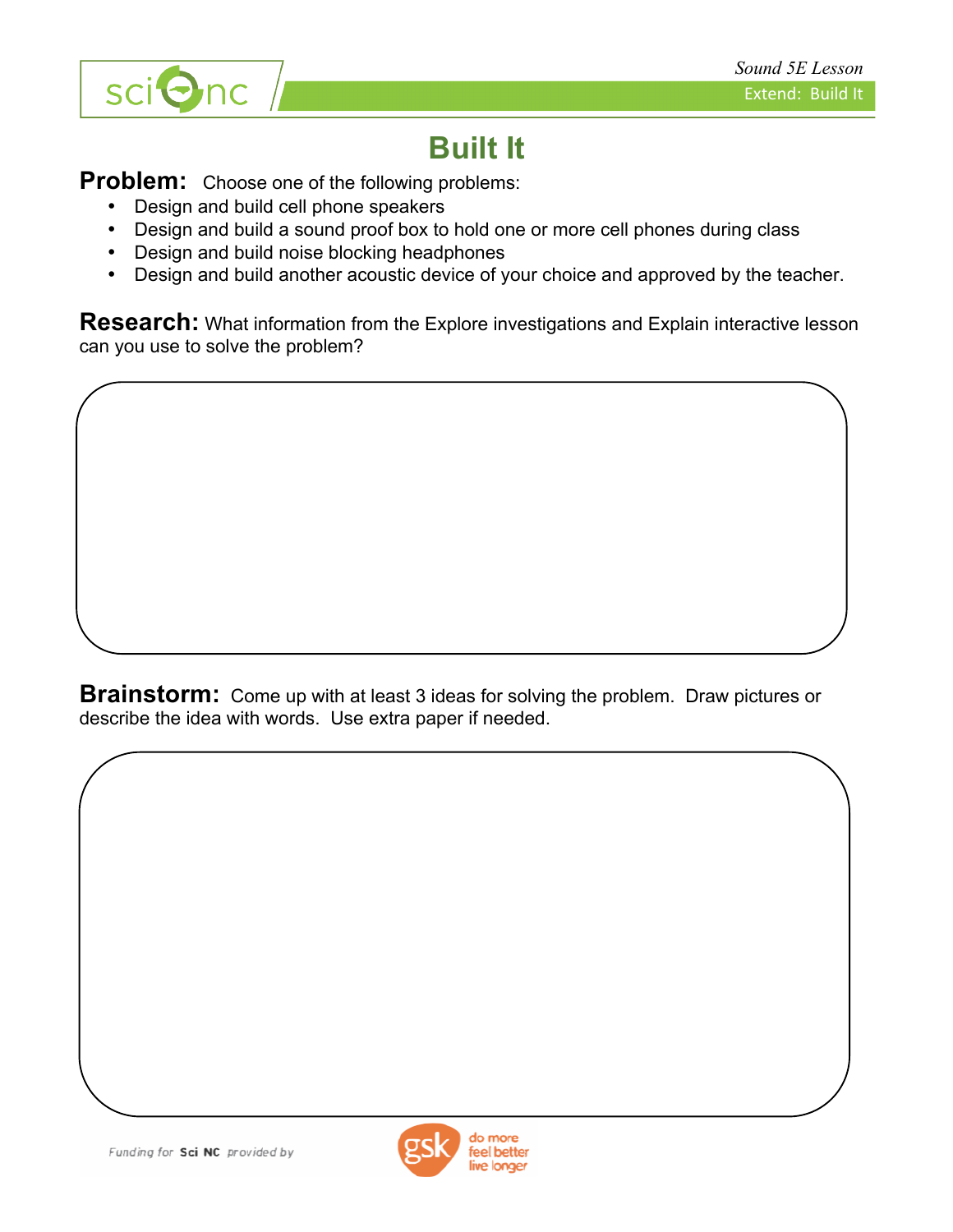

## **Built It**

**Problem:** Choose one of the following problems:

- Design and build cell phone speakers
- Design and build a sound proof box to hold one or more cell phones during class
- Design and build noise blocking headphones
- Design and build another acoustic device of your choice and approved by the teacher.

**Research:** What information from the Explore investigations and Explain interactive lesson can you use to solve the problem?

**Brainstorm:** Come up with at least 3 ideas for solving the problem. Draw pictures or describe the idea with words. Use extra paper if needed.

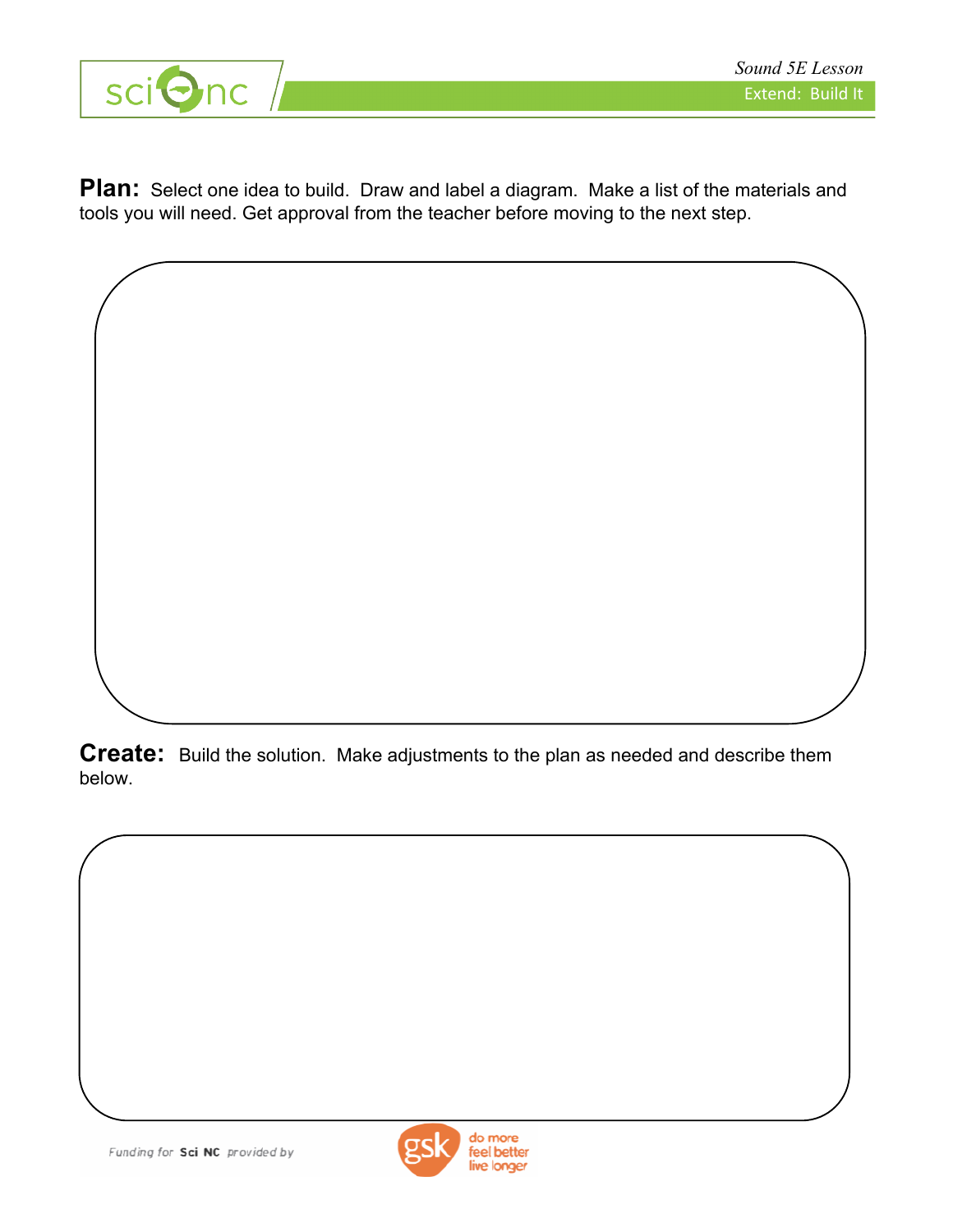

**Plan:** Select one idea to build. Draw and label a diagram. Make a list of the materials and tools you will need. Get approval from the teacher before moving to the next step.

**Create:** Build the solution. Make adjustments to the plan as needed and describe them below.